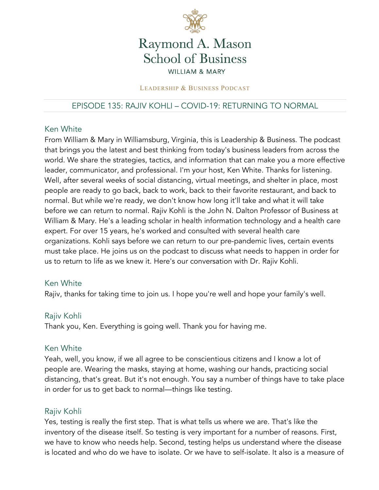

# Raymond A. Mason **School of Business WILLIAM & MARY**

#### LEADERSHIP & BUSINESS PODCAST

# EPISODE 135: RAJIV KOHLI – COVID-19: RETURNING TO NORMAL

#### Ken White

From William & Mary in Williamsburg, Virginia, this is Leadership & Business. The podcast that brings you the latest and best thinking from today's business leaders from across the world. We share the strategies, tactics, and information that can make you a more effective leader, communicator, and professional. I'm your host, Ken White. Thanks for listening. Well, after several weeks of social distancing, virtual meetings, and shelter in place, most people are ready to go back, back to work, back to their favorite restaurant, and back to normal. But while we're ready, we don't know how long it'll take and what it will take before we can return to normal. Rajiv Kohli is the John N. Dalton Professor of Business at William & Mary. He's a leading scholar in health information technology and a health care expert. For over 15 years, he's worked and consulted with several health care organizations. Kohli says before we can return to our pre-pandemic lives, certain events must take place. He joins us on the podcast to discuss what needs to happen in order for us to return to life as we knew it. Here's our conversation with Dr. Rajiv Kohli.

#### Ken White

Rajiv, thanks for taking time to join us. I hope you're well and hope your family's well.

#### Rajiv Kohli

Thank you, Ken. Everything is going well. Thank you for having me.

#### Ken White

Yeah, well, you know, if we all agree to be conscientious citizens and I know a lot of people are. Wearing the masks, staying at home, washing our hands, practicing social distancing, that's great. But it's not enough. You say a number of things have to take place in order for us to get back to normal—things like testing.

#### Rajiv Kohli

Yes, testing is really the first step. That is what tells us where we are. That's like the inventory of the disease itself. So testing is very important for a number of reasons. First, we have to know who needs help. Second, testing helps us understand where the disease is located and who do we have to isolate. Or we have to self-isolate. It also is a measure of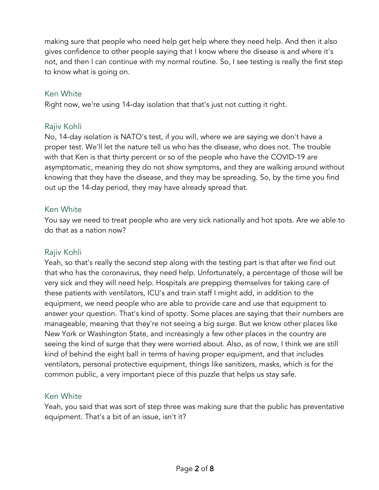making sure that people who need help get help where they need help. And then it also gives confidence to other people saying that I know where the disease is and where it's not, and then I can continue with my normal routine. So, I see testing is really the first step to know what is going on.

#### Ken White

Right now, we're using 14-day isolation that that's just not cutting it right.

#### Rajiv Kohli

No, 14-day isolation is NATO's test, if you will, where we are saying we don't have a proper test. We'll let the nature tell us who has the disease, who does not. The trouble with that Ken is that thirty percent or so of the people who have the COVID-19 are asymptomatic, meaning they do not show symptoms, and they are walking around without knowing that they have the disease, and they may be spreading. So, by the time you find out up the 14-day period, they may have already spread that.

#### Ken White

You say we need to treat people who are very sick nationally and hot spots. Are we able to do that as a nation now?

#### Rajiv Kohli

Yeah, so that's really the second step along with the testing part is that after we find out that who has the coronavirus, they need help. Unfortunately, a percentage of those will be very sick and they will need help. Hospitals are prepping themselves for taking care of these patients with ventilators, ICU's and train staff I might add, in addition to the equipment, we need people who are able to provide care and use that equipment to answer your question. That's kind of spotty. Some places are saying that their numbers are manageable, meaning that they're not seeing a big surge. But we know other places like New York or Washington State, and increasingly a few other places in the country are seeing the kind of surge that they were worried about. Also, as of now, I think we are still kind of behind the eight ball in terms of having proper equipment, and that includes ventilators, personal protective equipment, things like sanitizers, masks, which is for the common public, a very important piece of this puzzle that helps us stay safe.

#### Ken White

Yeah, you said that was sort of step three was making sure that the public has preventative equipment. That's a bit of an issue, isn't it?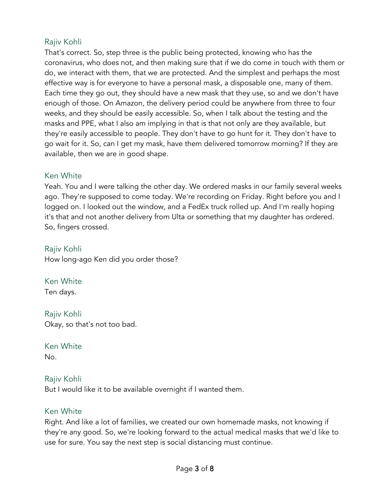# Rajiv Kohli

That's correct. So, step three is the public being protected, knowing who has the coronavirus, who does not, and then making sure that if we do come in touch with them or do, we interact with them, that we are protected. And the simplest and perhaps the most effective way is for everyone to have a personal mask, a disposable one, many of them. Each time they go out, they should have a new mask that they use, so and we don't have enough of those. On Amazon, the delivery period could be anywhere from three to four weeks, and they should be easily accessible. So, when I talk about the testing and the masks and PPE, what I also am implying in that is that not only are they available, but they're easily accessible to people. They don't have to go hunt for it. They don't have to go wait for it. So, can I get my mask, have them delivered tomorrow morning? If they are available, then we are in good shape.

#### Ken White

Yeah. You and I were talking the other day. We ordered masks in our family several weeks ago. They're supposed to come today. We're recording on Friday. Right before you and I logged on. I looked out the window, and a FedEx truck rolled up. And I'm really hoping it's that and not another delivery from Ulta or something that my daughter has ordered. So, fingers crossed.

#### Rajiv Kohli

How long-ago Ken did you order those?

# Ken White

Ten days.

# Rajiv Kohli Okay, so that's not too bad.

# Ken White

No.

#### Rajiv Kohli

But I would like it to be available overnight if I wanted them.

#### Ken White

Right. And like a lot of families, we created our own homemade masks, not knowing if they're any good. So, we're looking forward to the actual medical masks that we'd like to use for sure. You say the next step is social distancing must continue.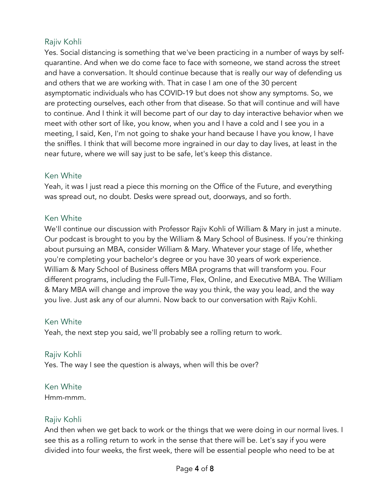# Rajiv Kohli

Yes. Social distancing is something that we've been practicing in a number of ways by selfquarantine. And when we do come face to face with someone, we stand across the street and have a conversation. It should continue because that is really our way of defending us and others that we are working with. That in case I am one of the 30 percent asymptomatic individuals who has COVID-19 but does not show any symptoms. So, we are protecting ourselves, each other from that disease. So that will continue and will have to continue. And I think it will become part of our day to day interactive behavior when we meet with other sort of like, you know, when you and I have a cold and I see you in a meeting, I said, Ken, I'm not going to shake your hand because I have you know, I have the sniffles. I think that will become more ingrained in our day to day lives, at least in the near future, where we will say just to be safe, let's keep this distance.

# Ken White

Yeah, it was I just read a piece this morning on the Office of the Future, and everything was spread out, no doubt. Desks were spread out, doorways, and so forth.

# Ken White

We'll continue our discussion with Professor Rajiv Kohli of William & Mary in just a minute. Our podcast is brought to you by the William & Mary School of Business. If you're thinking about pursuing an MBA, consider William & Mary. Whatever your stage of life, whether you're completing your bachelor's degree or you have 30 years of work experience. William & Mary School of Business offers MBA programs that will transform you. Four different programs, including the Full-Time, Flex, Online, and Executive MBA. The William & Mary MBA will change and improve the way you think, the way you lead, and the way you live. Just ask any of our alumni. Now back to our conversation with Rajiv Kohli.

#### Ken White

Yeah, the next step you said, we'll probably see a rolling return to work.

#### Rajiv Kohli

Yes. The way I see the question is always, when will this be over?

#### Ken White

Hmm-mmm.

# Rajiv Kohli

And then when we get back to work or the things that we were doing in our normal lives. I see this as a rolling return to work in the sense that there will be. Let's say if you were divided into four weeks, the first week, there will be essential people who need to be at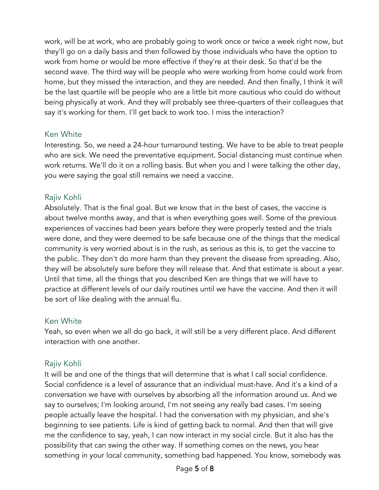work, will be at work, who are probably going to work once or twice a week right now, but they'll go on a daily basis and then followed by those individuals who have the option to work from home or would be more effective if they're at their desk. So that'd be the second wave. The third way will be people who were working from home could work from home, but they missed the interaction, and they are needed. And then finally, I think it will be the last quartile will be people who are a little bit more cautious who could do without being physically at work. And they will probably see three-quarters of their colleagues that say it's working for them. I'll get back to work too. I miss the interaction?

# Ken White

Interesting. So, we need a 24-hour turnaround testing. We have to be able to treat people who are sick. We need the preventative equipment. Social distancing must continue when work returns. We'll do it on a rolling basis. But when you and I were talking the other day, you were saying the goal still remains we need a vaccine.

# Rajiv Kohli

Absolutely. That is the final goal. But we know that in the best of cases, the vaccine is about twelve months away, and that is when everything goes well. Some of the previous experiences of vaccines had been years before they were properly tested and the trials were done, and they were deemed to be safe because one of the things that the medical community is very worried about is in the rush, as serious as this is, to get the vaccine to the public. They don't do more harm than they prevent the disease from spreading. Also, they will be absolutely sure before they will release that. And that estimate is about a year. Until that time, all the things that you described Ken are things that we will have to practice at different levels of our daily routines until we have the vaccine. And then it will be sort of like dealing with the annual flu.

# Ken White

Yeah, so even when we all do go back, it will still be a very different place. And different interaction with one another.

# Rajiv Kohli

It will be and one of the things that will determine that is what I call social confidence. Social confidence is a level of assurance that an individual must-have. And it's a kind of a conversation we have with ourselves by absorbing all the information around us. And we say to ourselves; I'm looking around, I'm not seeing any really bad cases. I'm seeing people actually leave the hospital. I had the conversation with my physician, and she's beginning to see patients. Life is kind of getting back to normal. And then that will give me the confidence to say, yeah, I can now interact in my social circle. But it also has the possibility that can swing the other way. If something comes on the news, you hear something in your local community, something bad happened. You know, somebody was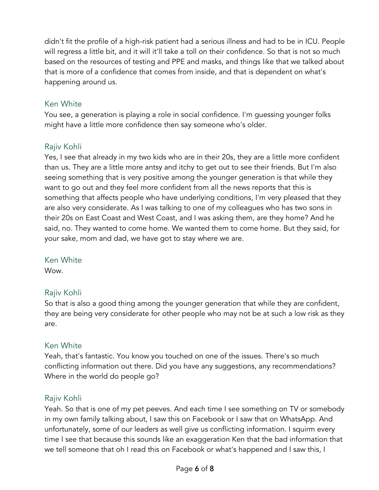didn't fit the profile of a high-risk patient had a serious illness and had to be in ICU. People will regress a little bit, and it will it'll take a toll on their confidence. So that is not so much based on the resources of testing and PPE and masks, and things like that we talked about that is more of a confidence that comes from inside, and that is dependent on what's happening around us.

# Ken White

You see, a generation is playing a role in social confidence. I'm guessing younger folks might have a little more confidence then say someone who's older.

# Rajiv Kohli

Yes, I see that already in my two kids who are in their 20s, they are a little more confident than us. They are a little more antsy and itchy to get out to see their friends. But I'm also seeing something that is very positive among the younger generation is that while they want to go out and they feel more confident from all the news reports that this is something that affects people who have underlying conditions, I'm very pleased that they are also very considerate. As I was talking to one of my colleagues who has two sons in their 20s on East Coast and West Coast, and I was asking them, are they home? And he said, no. They wanted to come home. We wanted them to come home. But they said, for your sake, mom and dad, we have got to stay where we are.

#### Ken White

Wow.

# Rajiv Kohli

So that is also a good thing among the younger generation that while they are confident, they are being very considerate for other people who may not be at such a low risk as they are.

# Ken White

Yeah, that's fantastic. You know you touched on one of the issues. There's so much conflicting information out there. Did you have any suggestions, any recommendations? Where in the world do people go?

# Rajiv Kohli

Yeah. So that is one of my pet peeves. And each time I see something on TV or somebody in my own family talking about, I saw this on Facebook or I saw that on WhatsApp. And unfortunately, some of our leaders as well give us conflicting information. I squirm every time I see that because this sounds like an exaggeration Ken that the bad information that we tell someone that oh I read this on Facebook or what's happened and I saw this, I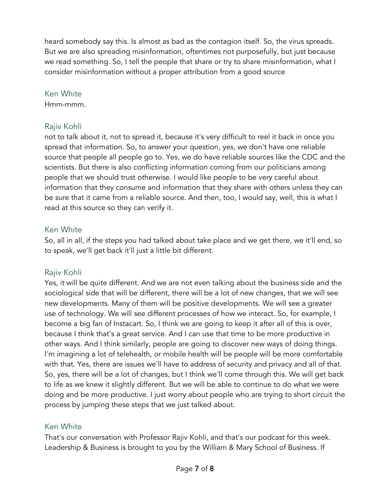heard somebody say this. Is almost as bad as the contagion itself. So, the virus spreads. But we are also spreading misinformation, oftentimes not purposefully, but just because we read something. So, I tell the people that share or try to share misinformation, what I consider misinformation without a proper attribution from a good source

#### Ken White

Hmm-mmm.

# Rajiv Kohli

not to talk about it, not to spread it, because it's very difficult to reel it back in once you spread that information. So, to answer your question, yes, we don't have one reliable source that people all people go to. Yes, we do have reliable sources like the CDC and the scientists. But there is also conflicting information coming from our politicians among people that we should trust otherwise. I would like people to be very careful about information that they consume and information that they share with others unless they can be sure that it came from a reliable source. And then, too, I would say, well, this is what I read at this source so they can verify it.

# Ken White

So, all in all, if the steps you had talked about take place and we get there, we it'll end, so to speak, we'll get back it'll just a little bit different.

# Rajiv Kohli

Yes, it will be quite different. And we are not even talking about the business side and the sociological side that will be different, there will be a lot of new changes, that we will see new developments. Many of them will be positive developments. We will see a greater use of technology. We will see different processes of how we interact. So, for example, I become a big fan of Instacart. So, I think we are going to keep it after all of this is over, because I think that's a great service. And I can use that time to be more productive in other ways. And I think similarly, people are going to discover new ways of doing things. I'm imagining a lot of telehealth, or mobile health will be people will be more comfortable with that. Yes, there are issues we'll have to address of security and privacy and all of that. So, yes, there will be a lot of changes, but I think we'll come through this. We will get back to life as we knew it slightly different. But we will be able to continue to do what we were doing and be more productive. I just worry about people who are trying to short circuit the process by jumping these steps that we just talked about.

# Ken White

That's our conversation with Professor Rajiv Kohli, and that's our podcast for this week. Leadership & Business is brought to you by the William & Mary School of Business. If